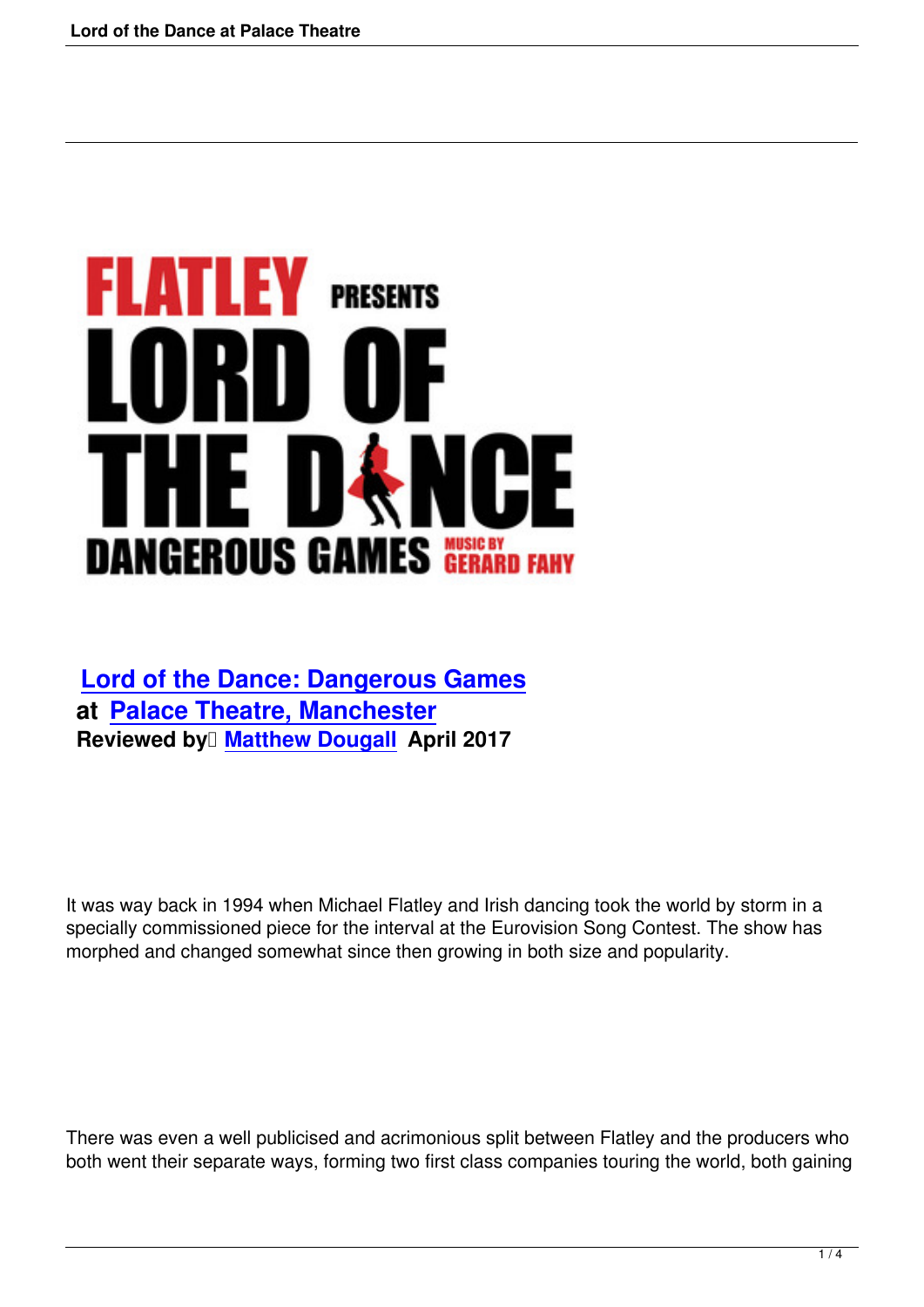# **FLATLEY** PRESENTS **THE I**  $\begin{array}{c} \hline \end{array}$ **DANGEROUS GAMES NUSIC BY ARRY**

## **Lord of the Dance: Dangerous Games at Palace Theatre, Manchester Reviewed by <del>DMatthew Dougall</del> April 2017**

It was way back in 1994 when Michael Flatley and Irish dancing took the world by storm in a specially commissioned piece for the interval at the Eurovision Song Contest. The show has morphed and changed somewhat since then growing in both size and popularity.

There was even a well publicised and acrimonious split between Flatley and the producers who both went their separate ways, forming two first class companies touring the world, both gaining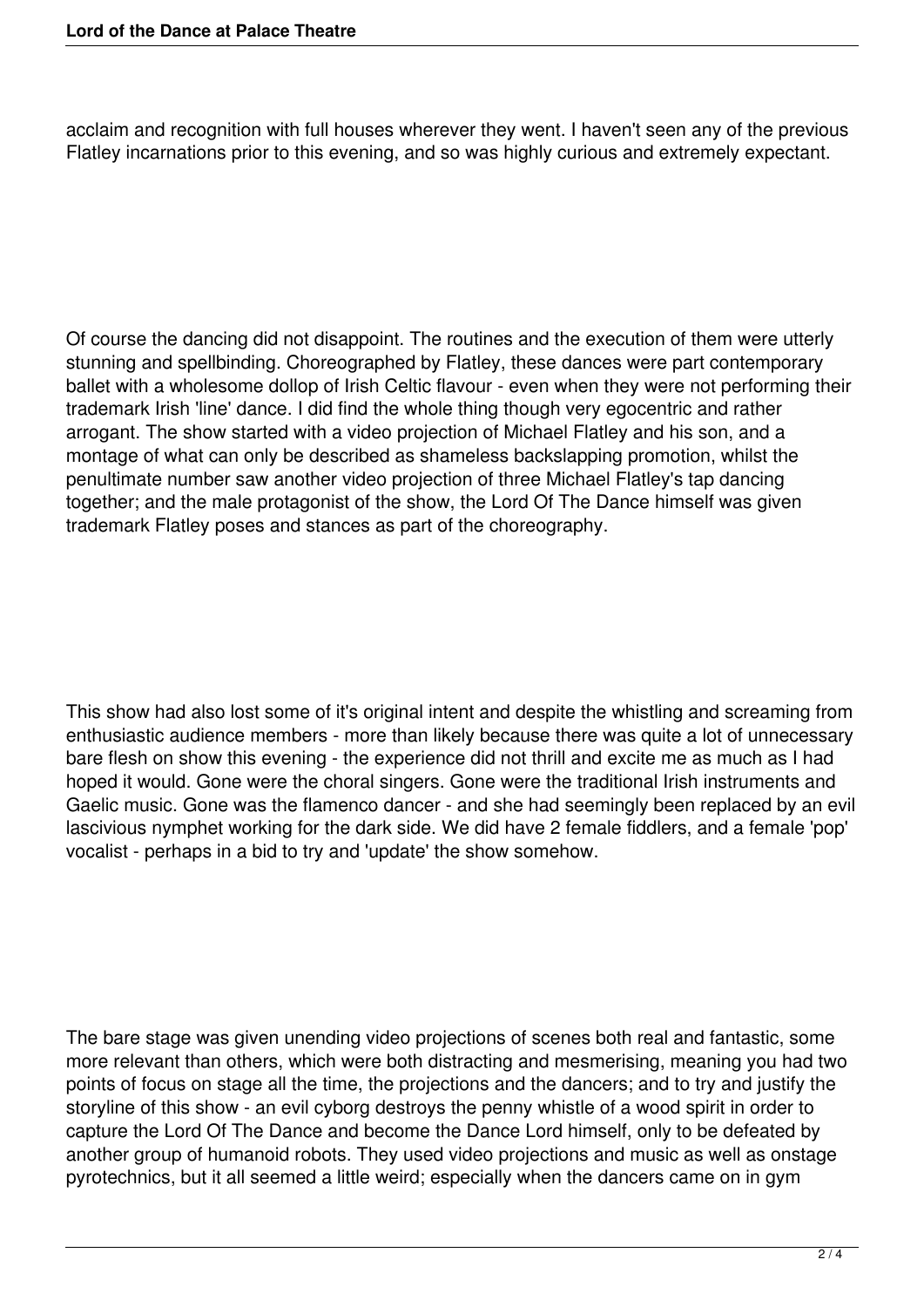acclaim and recognition with full houses wherever they went. I haven't seen any of the previous Flatley incarnations prior to this evening, and so was highly curious and extremely expectant.

Of course the dancing did not disappoint. The routines and the execution of them were utterly stunning and spellbinding. Choreographed by Flatley, these dances were part contemporary ballet with a wholesome dollop of Irish Celtic flavour - even when they were not performing their trademark Irish 'line' dance. I did find the whole thing though very egocentric and rather arrogant. The show started with a video projection of Michael Flatley and his son, and a montage of what can only be described as shameless backslapping promotion, whilst the penultimate number saw another video projection of three Michael Flatley's tap dancing together; and the male protagonist of the show, the Lord Of The Dance himself was given trademark Flatley poses and stances as part of the choreography.

This show had also lost some of it's original intent and despite the whistling and screaming from enthusiastic audience members - more than likely because there was quite a lot of unnecessary bare flesh on show this evening - the experience did not thrill and excite me as much as I had hoped it would. Gone were the choral singers. Gone were the traditional Irish instruments and Gaelic music. Gone was the flamenco dancer - and she had seemingly been replaced by an evil lascivious nymphet working for the dark side. We did have 2 female fiddlers, and a female 'pop' vocalist - perhaps in a bid to try and 'update' the show somehow.

The bare stage was given unending video projections of scenes both real and fantastic, some more relevant than others, which were both distracting and mesmerising, meaning you had two points of focus on stage all the time, the projections and the dancers; and to try and justify the storyline of this show - an evil cyborg destroys the penny whistle of a wood spirit in order to capture the Lord Of The Dance and become the Dance Lord himself, only to be defeated by another group of humanoid robots. They used video projections and music as well as onstage pyrotechnics, but it all seemed a little weird; especially when the dancers came on in gym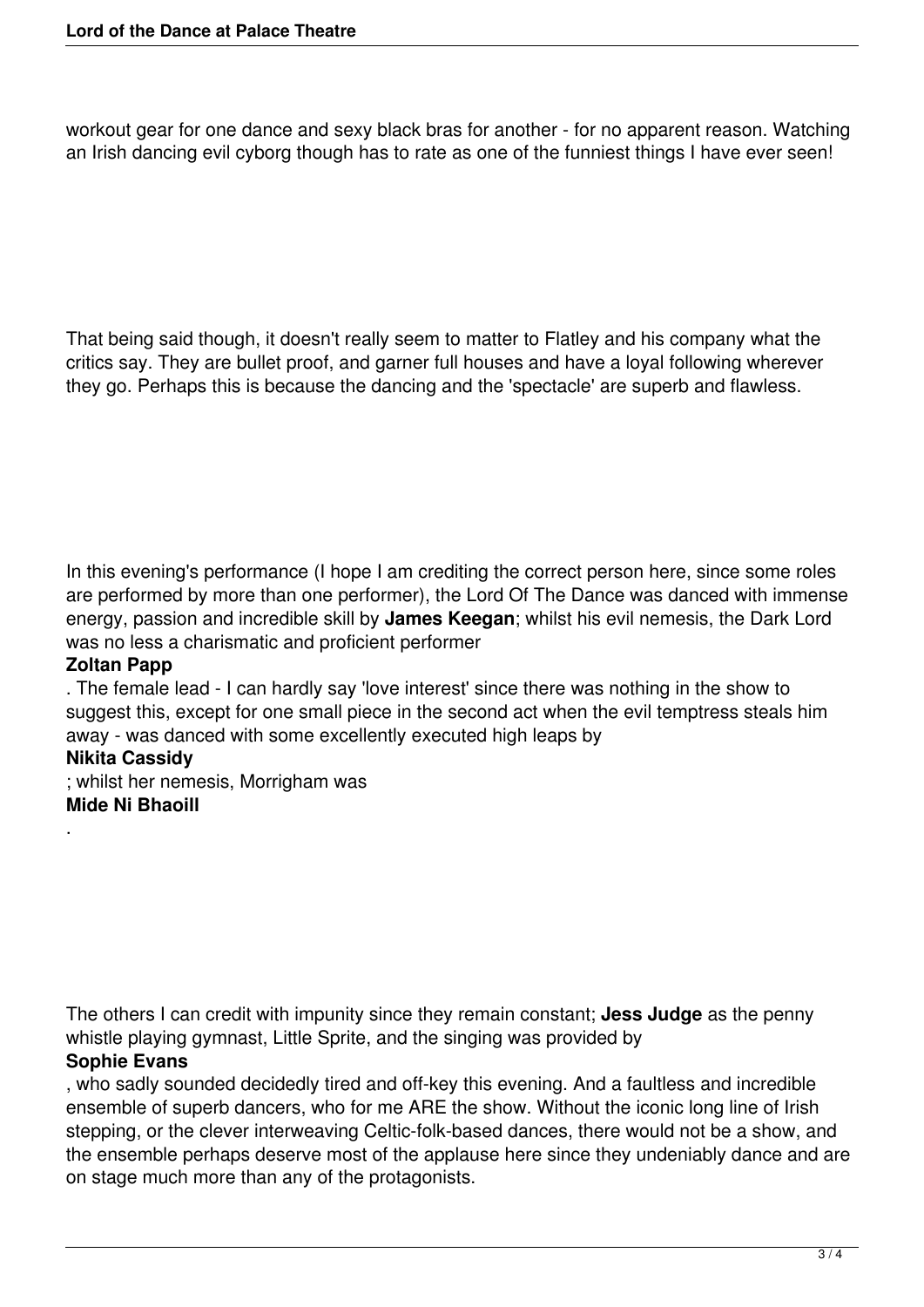workout gear for one dance and sexy black bras for another - for no apparent reason. Watching an Irish dancing evil cyborg though has to rate as one of the funniest things I have ever seen!

That being said though, it doesn't really seem to matter to Flatley and his company what the critics say. They are bullet proof, and garner full houses and have a loyal following wherever they go. Perhaps this is because the dancing and the 'spectacle' are superb and flawless.

In this evening's performance (I hope I am crediting the correct person here, since some roles are performed by more than one performer), the Lord Of The Dance was danced with immense energy, passion and incredible skill by **James Keegan**; whilst his evil nemesis, the Dark Lord was no less a charismatic and proficient performer

#### **Zoltan Papp**

. The female lead - I can hardly say 'love interest' since there was nothing in the show to suggest this, except for one small piece in the second act when the evil temptress steals him away - was danced with some excellently executed high leaps by

### **Nikita Cassidy**

.

; whilst her nemesis, Morrigham was **Mide Ni Bhaoill**

The others I can credit with impunity since they remain constant; **Jess Judge** as the penny whistle playing gymnast, Little Sprite, and the singing was provided by **Sophie Evans**

, who sadly sounded decidedly tired and off-key this evening. And a faultless and incredible ensemble of superb dancers, who for me ARE the show. Without the iconic long line of Irish stepping, or the clever interweaving Celtic-folk-based dances, there would not be a show, and the ensemble perhaps deserve most of the applause here since they undeniably dance and are on stage much more than any of the protagonists.